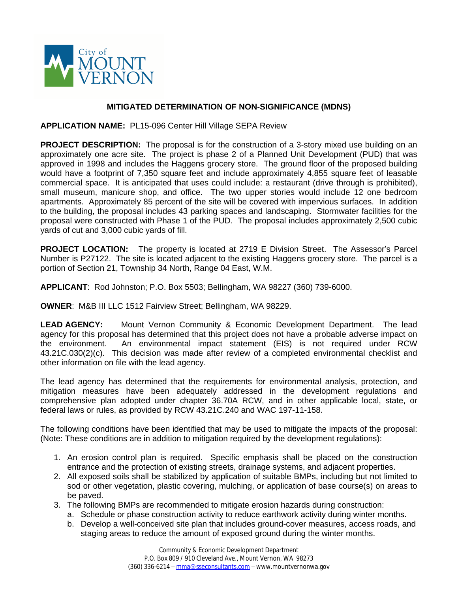

## **MITIGATED DETERMINATION OF NON-SIGNIFICANCE (MDNS)**

**APPLICATION NAME:** PL15-096 Center Hill Village SEPA Review

**PROJECT DESCRIPTION:** The proposal is for the construction of a 3-story mixed use building on an approximately one acre site. The project is phase 2 of a Planned Unit Development (PUD) that was approved in 1998 and includes the Haggens grocery store. The ground floor of the proposed building would have a footprint of 7,350 square feet and include approximately 4,855 square feet of leasable commercial space. It is anticipated that uses could include: a restaurant (drive through is prohibited), small museum, manicure shop, and office. The two upper stories would include 12 one bedroom apartments. Approximately 85 percent of the site will be covered with impervious surfaces. In addition to the building, the proposal includes 43 parking spaces and landscaping. Stormwater facilities for the proposal were constructed with Phase 1 of the PUD. The proposal includes approximately 2,500 cubic yards of cut and 3,000 cubic yards of fill.

**PROJECT LOCATION:** The property is located at 2719 E Division Street. The Assessor's Parcel Number is P27122. The site is located adjacent to the existing Haggens grocery store. The parcel is a portion of Section 21, Township 34 North, Range 04 East, W.M.

**APPLICANT**: Rod Johnston; P.O. Box 5503; Bellingham, WA 98227 (360) 739-6000.

**OWNER**: M&B III LLC 1512 Fairview Street; Bellingham, WA 98229.

**LEAD AGENCY:** Mount Vernon Community & Economic Development Department. The lead agency for this proposal has determined that this project does not have a probable adverse impact on the environment. An environmental impact statement (EIS) is not required under RCW 43.21C.030(2)(c). This decision was made after review of a completed environmental checklist and other information on file with the lead agency.

The lead agency has determined that the requirements for environmental analysis, protection, and mitigation measures have been adequately addressed in the development regulations and comprehensive plan adopted under chapter 36.70A RCW, and in other applicable local, state, or federal laws or rules, as provided by RCW 43.21C.240 and WAC 197-11-158.

The following conditions have been identified that may be used to mitigate the impacts of the proposal: (Note: These conditions are in addition to mitigation required by the development regulations):

- 1. An erosion control plan is required. Specific emphasis shall be placed on the construction entrance and the protection of existing streets, drainage systems, and adjacent properties.
- 2. All exposed soils shall be stabilized by application of suitable BMPs, including but not limited to sod or other vegetation, plastic covering, mulching, or application of base course(s) on areas to be paved.
- 3. The following BMPs are recommended to mitigate erosion hazards during construction:
	- a. Schedule or phase construction activity to reduce earthwork activity during winter months.
	- b. Develop a well-conceived site plan that includes ground-cover measures, access roads, and staging areas to reduce the amount of exposed ground during the winter months.